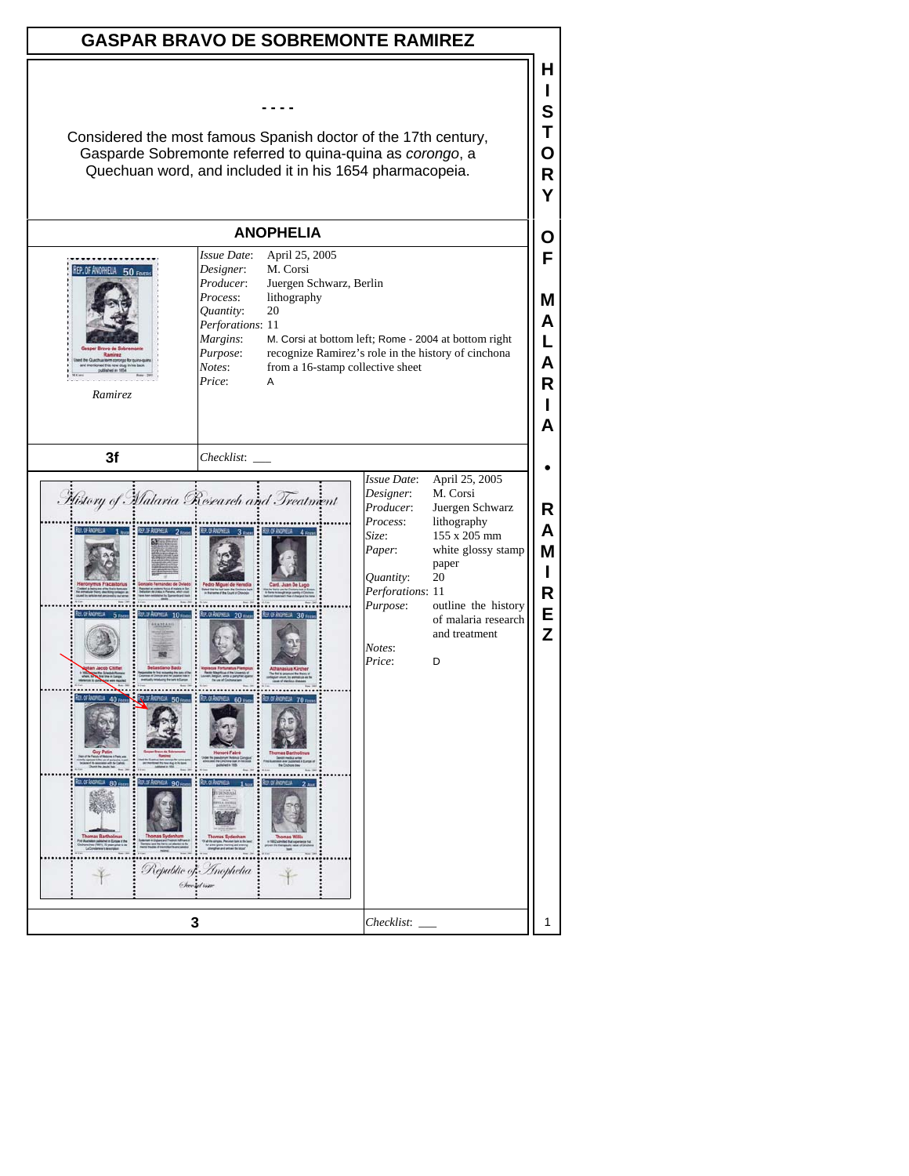